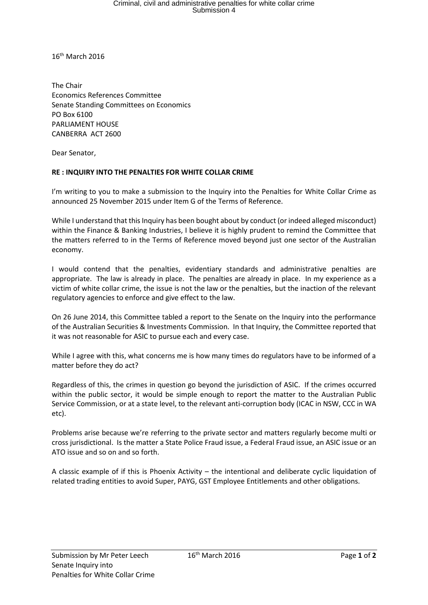## Criminal, civil and administrative penalties for white collar crime Submission 4

16th March 2016

The Chair Economics References Committee Senate Standing Committees on Economics PO Box 6100 PARLIAMENT HOUSE CANBERRA ACT 2600

Dear Senator,

## **RE : INQUIRY INTO THE PENALTIES FOR WHITE COLLAR CRIME**

I'm writing to you to make a submission to the Inquiry into the Penalties for White Collar Crime as announced 25 November 2015 under Item G of the Terms of Reference.

While I understand that this Inquiry has been bought about by conduct (or indeed alleged misconduct) within the Finance & Banking Industries, I believe it is highly prudent to remind the Committee that the matters referred to in the Terms of Reference moved beyond just one sector of the Australian economy.

I would contend that the penalties, evidentiary standards and administrative penalties are appropriate. The law is already in place. The penalties are already in place. In my experience as a victim of white collar crime, the issue is not the law or the penalties, but the inaction of the relevant regulatory agencies to enforce and give effect to the law.

On 26 June 2014, this Committee tabled a report to the Senate on the Inquiry into the performance of the Australian Securities & Investments Commission. In that Inquiry, the Committee reported that it was not reasonable for ASIC to pursue each and every case.

While I agree with this, what concerns me is how many times do regulators have to be informed of a matter before they do act?

Regardless of this, the crimes in question go beyond the jurisdiction of ASIC. If the crimes occurred within the public sector, it would be simple enough to report the matter to the Australian Public Service Commission, or at a state level, to the relevant anti-corruption body (ICAC in NSW, CCC in WA etc).

Problems arise because we're referring to the private sector and matters regularly become multi or cross jurisdictional. Is the matter a State Police Fraud issue, a Federal Fraud issue, an ASIC issue or an ATO issue and so on and so forth.

A classic example of if this is Phoenix Activity – the intentional and deliberate cyclic liquidation of related trading entities to avoid Super, PAYG, GST Employee Entitlements and other obligations.